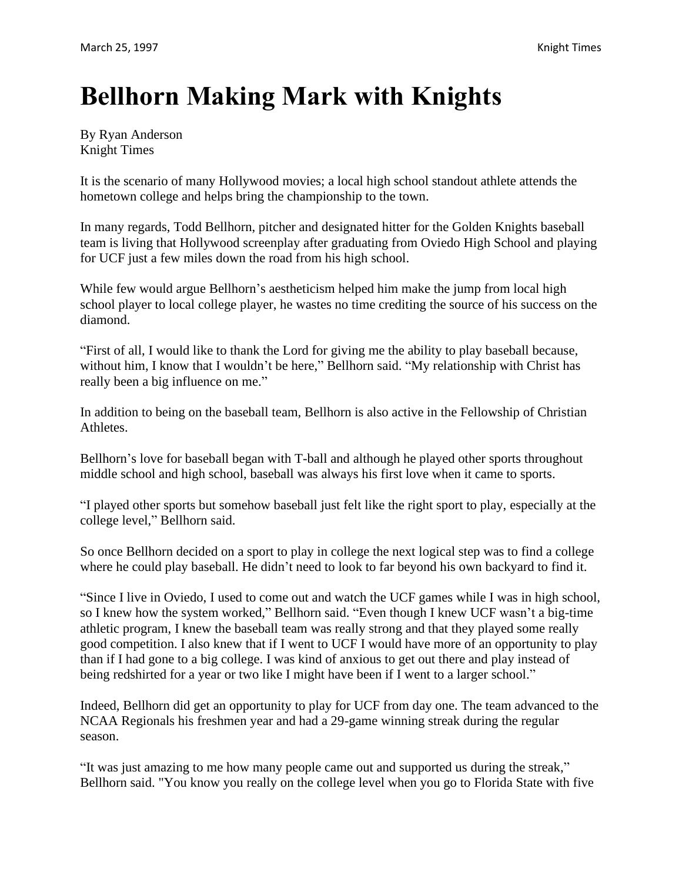## **Bellhorn Making Mark with Knights**

By Ryan Anderson Knight Times

It is the scenario of many Hollywood movies; a local high school standout athlete attends the hometown college and helps bring the championship to the town.

In many regards, Todd Bellhorn, pitcher and designated hitter for the Golden Knights baseball team is living that Hollywood screenplay after graduating from Oviedo High School and playing for UCF just a few miles down the road from his high school.

While few would argue Bellhorn's aestheticism helped him make the jump from local high school player to local college player, he wastes no time crediting the source of his success on the diamond.

"First of all, I would like to thank the Lord for giving me the ability to play baseball because, without him, I know that I wouldn't be here," Bellhorn said. "My relationship with Christ has really been a big influence on me."

In addition to being on the baseball team, Bellhorn is also active in the Fellowship of Christian Athletes.

Bellhorn's love for baseball began with T-ball and although he played other sports throughout middle school and high school, baseball was always his first love when it came to sports.

"I played other sports but somehow baseball just felt like the right sport to play, especially at the college level," Bellhorn said.

So once Bellhorn decided on a sport to play in college the next logical step was to find a college where he could play baseball. He didn't need to look to far beyond his own backyard to find it.

"Since I live in Oviedo, I used to come out and watch the UCF games while I was in high school, so I knew how the system worked," Bellhorn said. "Even though I knew UCF wasn't a big-time athletic program, I knew the baseball team was really strong and that they played some really good competition. I also knew that if I went to UCF I would have more of an opportunity to play than if I had gone to a big college. I was kind of anxious to get out there and play instead of being redshirted for a year or two like I might have been if I went to a larger school."

Indeed, Bellhorn did get an opportunity to play for UCF from day one. The team advanced to the NCAA Regionals his freshmen year and had a 29-game winning streak during the regular season.

"It was just amazing to me how many people came out and supported us during the streak," Bellhorn said. "You know you really on the college level when you go to Florida State with five